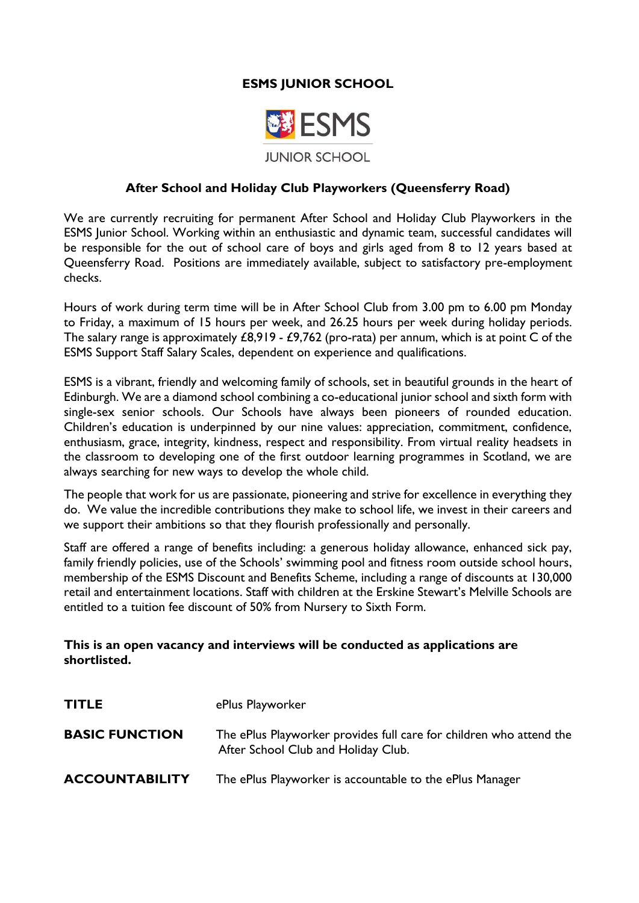## **ESMS JUNIOR SCHOOL**



#### **After School and Holiday Club Playworkers (Queensferry Road)**

We are currently recruiting for permanent After School and Holiday Club Playworkers in the ESMS Junior School. Working within an enthusiastic and dynamic team, successful candidates will be responsible for the out of school care of boys and girls aged from 8 to 12 years based at Queensferry Road. Positions are immediately available, subject to satisfactory pre-employment checks.

Hours of work during term time will be in After School Club from 3.00 pm to 6.00 pm Monday to Friday, a maximum of 15 hours per week, and 26.25 hours per week during holiday periods. The salary range is approximately £8,919 - £9,762 (pro-rata) per annum, which is at point C of the ESMS Support Staff Salary Scales, dependent on experience and qualifications.

ESMS is a vibrant, friendly and welcoming family of schools, set in beautiful grounds in the heart of Edinburgh. We are a diamond school combining a co-educational junior school and sixth form with single-sex senior schools. Our Schools have always been pioneers of rounded education. Children's education is underpinned by our nine values: appreciation, commitment, confidence, enthusiasm, grace, integrity, kindness, respect and responsibility. From virtual reality headsets in the classroom to developing one of the first outdoor learning programmes in Scotland, we are always searching for new ways to develop the whole child.

The people that work for us are passionate, pioneering and strive for excellence in everything they do. We value the incredible contributions they make to school life, we invest in their careers and we support their ambitions so that they flourish professionally and personally.

Staff are offered a range of benefits including: a generous holiday allowance, enhanced sick pay, family friendly policies, use of the Schools' swimming pool and fitness room outside school hours, membership of the ESMS Discount and Benefits Scheme, including a range of discounts at 130,000 retail and entertainment locations. Staff with children at the Erskine Stewart's Melville Schools are entitled to a tuition fee discount of 50% from Nursery to Sixth Form.

#### **This is an open vacancy and interviews will be conducted as applications are shortlisted.**

| <b>TITLE</b>          | ePlus Playworker                                                                                           |
|-----------------------|------------------------------------------------------------------------------------------------------------|
| <b>BASIC FUNCTION</b> | The ePlus Playworker provides full care for children who attend the<br>After School Club and Holiday Club. |
| <b>ACCOUNTABILITY</b> | The ePlus Playworker is accountable to the ePlus Manager                                                   |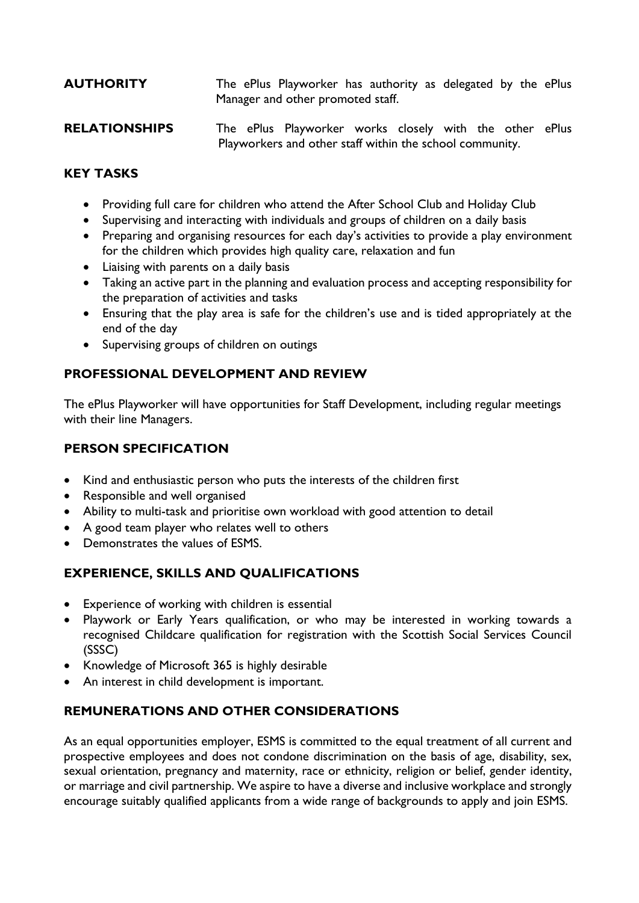# **AUTHORITY** The ePlus Playworker has authority as delegated by the ePlus Manager and other promoted staff.

**RELATIONSHIPS** The ePlus Playworker works closely with the other ePlus Playworkers and other staff within the school community.

## **KEY TASKS**

- Providing full care for children who attend the After School Club and Holiday Club
- Supervising and interacting with individuals and groups of children on a daily basis
- Preparing and organising resources for each day's activities to provide a play environment for the children which provides high quality care, relaxation and fun
- Liaising with parents on a daily basis
- Taking an active part in the planning and evaluation process and accepting responsibility for the preparation of activities and tasks
- Ensuring that the play area is safe for the children's use and is tided appropriately at the end of the day
- Supervising groups of children on outings

## **PROFESSIONAL DEVELOPMENT AND REVIEW**

The ePlus Playworker will have opportunities for Staff Development, including regular meetings with their line Managers.

### **PERSON SPECIFICATION**

- Kind and enthusiastic person who puts the interests of the children first
- Responsible and well organised
- Ability to multi-task and prioritise own workload with good attention to detail
- A good team player who relates well to others
- Demonstrates the values of ESMS.

# **EXPERIENCE, SKILLS AND QUALIFICATIONS**

- Experience of working with children is essential
- Playwork or Early Years qualification, or who may be interested in working towards a recognised Childcare qualification for registration with the Scottish Social Services Council (SSSC)
- Knowledge of Microsoft 365 is highly desirable
- An interest in child development is important.

# **REMUNERATIONS AND OTHER CONSIDERATIONS**

As an equal opportunities employer, ESMS is committed to the equal treatment of all current and prospective employees and does not condone discrimination on the basis of age, disability, sex, sexual orientation, pregnancy and maternity, race or ethnicity, religion or belief, gender identity, or marriage and civil partnership. We aspire to have a diverse and inclusive workplace and strongly encourage suitably qualified applicants from a wide range of backgrounds to apply and join ESMS.